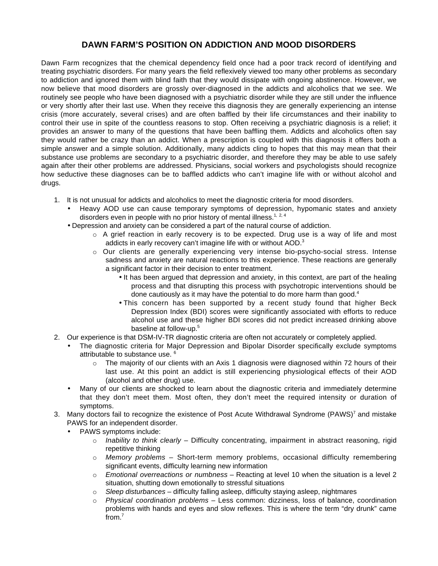## **DAWN FARM'S POSITION ON ADDICTION AND MOOD DISORDERS**

Dawn Farm recognizes that the chemical dependency field once had a poor track record of identifying and treating psychiatric disorders. For many years the field reflexively viewed too many other problems as secondary to addiction and ignored them with blind faith that they would dissipate with ongoing abstinence. However, we now believe that mood disorders are grossly over-diagnosed in the addicts and alcoholics that we see. We routinely see people who have been diagnosed with a psychiatric disorder while they are still under the influence or very shortly after their last use. When they receive this diagnosis they are generally experiencing an intense crisis (more accurately, several crises) and are often baffled by their life circumstances and their inability to control their use in spite of the countless reasons to stop. Often receiving a psychiatric diagnosis is a relief; it provides an answer to many of the questions that have been baffling them. Addicts and alcoholics often say they would rather be crazy than an addict. When a prescription is coupled with this diagnosis it offers both a simple answer and a simple solution. Additionally, many addicts cling to hopes that this may mean that their substance use problems are secondary to a psychiatric disorder, and therefore they may be able to use safely again after their other problems are addressed. Physicians, social workers and psychologists should recognize how seductive these diagnoses can be to baffled addicts who can't imagine life with or without alcohol and drugs.

- 1. It is not unusual for addicts and alcoholics to meet the diagnostic criteria for mood disorders.
	- Heavy AOD use can cause temporary symptoms of depression, hypomanic states and anxiety disorders even in people with no prior history of mental illness.<sup>1, 2, 4</sup>
	- Depression and anxiety can be considered a part of the natural course of addiction.
		- $\circ$  A grief reaction in early recovery is to be expected. Drug use is a way of life and most addicts in early recovery can't imagine life with or without AOD.<sup>3</sup>
		- o Our clients are generally experiencing very intense bio-psycho-social stress. Intense sadness and anxiety are natural reactions to this experience. These reactions are generally a significant factor in their decision to enter treatment.
			- It has been argued that depression and anxiety, in this context, are part of the healing process and that disrupting this process with psychotropic interventions should be done cautiously as it may have the potential to do more harm than good. $4$
			- This concern has been supported by a recent study found that higher Beck Depression Index (BDI) scores were significantly associated with efforts to reduce alcohol use and these higher BDI scores did not predict increased drinking above baseline at follow-up.<sup>5</sup>
- 2. Our experience is that DSM-IV-TR diagnostic criteria are often not accurately or completely applied.
	- The diagnostic criteria for Major Depression and Bipolar Disorder specifically exclude symptoms attributable to substance use. 6
		- $\circ$  The majority of our clients with an Axis 1 diagnosis were diagnosed within 72 hours of their last use. At this point an addict is still experiencing physiological effects of their AOD (alcohol and other drug) use.
	- Many of our clients are shocked to learn about the diagnostic criteria and immediately determine that they don't meet them. Most often, they don't meet the required intensity or duration of symptoms.
- 3. Many doctors fail to recognize the existence of Post Acute Withdrawal Syndrome (PAWS)<sup>7</sup> and mistake PAWS for an independent disorder.
	- PAWS symptoms include:
		- $\circ$  Inability to think clearly Difficulty concentrating, impairment in abstract reasoning, rigid repetitive thinking
		- $\circ$  Memory problems Short-term memory problems, occasional difficulty remembering significant events, difficulty learning new information
		- $\circ$  Emotional overreactions or numbness Reacting at level 10 when the situation is a level 2 situation, shutting down emotionally to stressful situations
		- o Sleep disturbances difficulty falling asleep, difficulty staying asleep, nightmares
		- $\circ$  Physical coordination problems Less common: dizziness, loss of balance, coordination problems with hands and eyes and slow reflexes. This is where the term "dry drunk" came from.7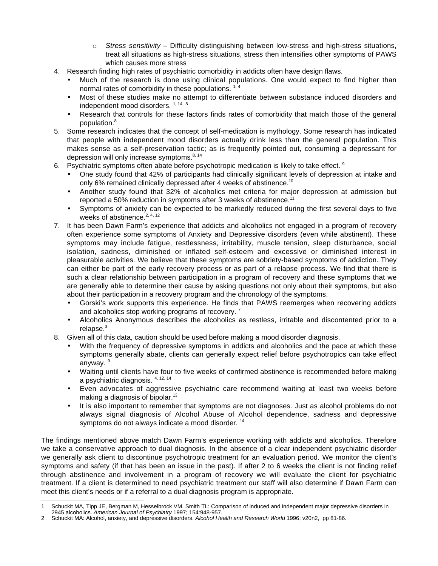- $\circ$  Stress sensitivity Difficulty distinguishing between low-stress and high-stress situations, treat all situations as high-stress situations, stress then intensifies other symptoms of PAWS which causes more stress
- 4. Research finding high rates of psychiatric comorbidity in addicts often have design flaws.
	- Much of the research is done using clinical populations. One would expect to find higher than normal rates of comorbidity in these populations. <sup>1, 4</sup>
	- Most of these studies make no attempt to differentiate between substance induced disorders and independent mood disorders. 1, 14, 8
	- Research that controls for these factors finds rates of comorbidity that match those of the general population.<sup>8</sup>
- 5. Some research indicates that the concept of self-medication is mythology. Some research has indicated that people with independent mood disorders actually drink less than the general population. This makes sense as a self-preservation tactic; as is frequently pointed out, consuming a depressant for depression will only increase symptoms.<sup>8, 14</sup>
- 6. Psychiatric symptoms often abate before psychotropic medication is likely to take effect.  $9$ 
	- One study found that 42% of participants had clinically significant levels of depression at intake and only 6% remained clinically depressed after 4 weeks of abstinence.<sup>10</sup>
	- Another study found that 32% of alcoholics met criteria for major depression at admission but reported a 50% reduction in symptoms after 3 weeks of abstinence.<sup>11</sup>
	- Symptoms of anxiety can be expected to be markedly reduced during the first several days to five weeks of abstinence.<sup>2, 4, 12</sup>
- 7. It has been Dawn Farm's experience that addicts and alcoholics not engaged in a program of recovery often experience some symptoms of Anxiety and Depressive disorders (even while abstinent). These symptoms may include fatigue, restlessness, irritability, muscle tension, sleep disturbance, social isolation, sadness, diminished or inflated self-esteem and excessive or diminished interest in pleasurable activities. We believe that these symptoms are sobriety-based symptoms of addiction. They can either be part of the early recovery process or as part of a relapse process. We find that there is such a clear relationship between participation in a program of recovery and these symptoms that we are generally able to determine their cause by asking questions not only about their symptoms, but also about their participation in a recovery program and the chronology of the symptoms.
	- Gorski's work supports this experience. He finds that PAWS reemerges when recovering addicts and alcoholics stop working programs of recovery.<sup>7</sup>
	- Alcoholics Anonymous describes the alcoholics as restless, irritable and discontented prior to a relapse.<sup>3</sup>
- 8. Given all of this data, caution should be used before making a mood disorder diagnosis.
	- With the frequency of depressive symptoms in addicts and alcoholics and the pace at which these symptoms generally abate, clients can generally expect relief before psychotropics can take effect anyway. 9
	- Waiting until clients have four to five weeks of confirmed abstinence is recommended before making a psychiatric diagnosis. 4, 12, 14
	- Even advocates of aggressive psychiatric care recommend waiting at least two weeks before making a diagnosis of bipolar.<sup>13</sup>
	- It is also important to remember that symptoms are not diagnoses. Just as alcohol problems do not always signal diagnosis of Alcohol Abuse of Alcohol dependence, sadness and depressive symptoms do not always indicate a mood disorder.<sup>14</sup>

The findings mentioned above match Dawn Farm's experience working with addicts and alcoholics. Therefore we take a conservative approach to dual diagnosis. In the absence of a clear independent psychiatric disorder we generally ask client to discontinue psychotropic treatment for an evaluation period. We monitor the client's symptoms and safety (if that has been an issue in the past). If after 2 to 6 weeks the client is not finding relief through abstinence and involvement in a program of recovery we will evaluate the client for psychiatric treatment. If a client is determined to need psychiatric treatment our staff will also determine if Dawn Farm can meet this client's needs or if a referral to a dual diagnosis program is appropriate.

 <sup>1</sup> Schuckit MA, Tipp JE, Bergman M, Hesselbrock VM, Smith TL: Comparison of induced and independent major depressive disorders in

<sup>2945</sup> alcoholics. American Journal of Psychiatry 1997; 154:948-957. 2 Schuckit MA: Alcohol, anxiety, and depressive disorders. Alcohol Health and Research World 1996; v20n2, pp 81-86.